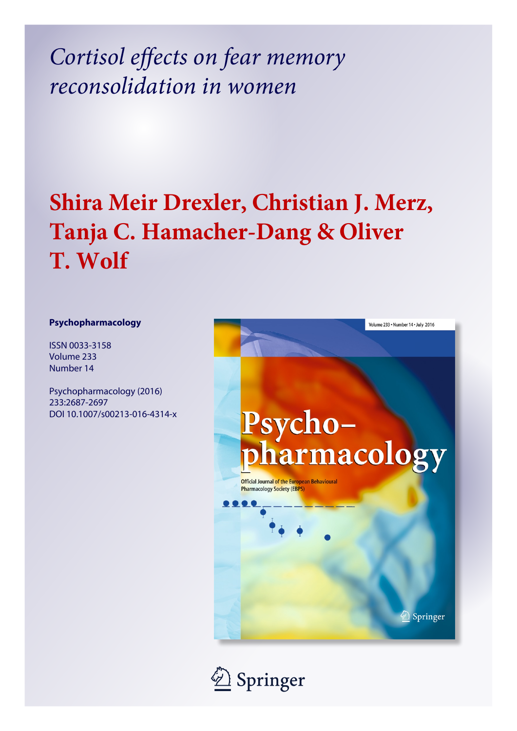*Cortisol effects on fear memory reconsolidation in women*

# **Shira Meir Drexler, Christian J. Merz, Tanja C. Hamacher-Dang & Oliver T. Wolf**

### **Psychopharmacology**

ISSN 0033-3158 Volume 233 Number 14

Psychopharmacology (2016) 233:2687-2697 DOI 10.1007/s00213-016-4314-x



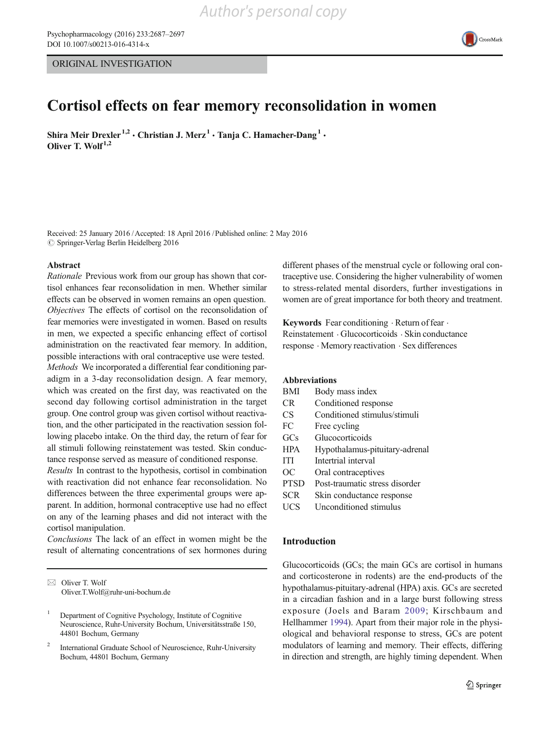ORIGINAL INVESTIGATION



## Cortisol effects on fear memory reconsolidation in women

Shira Meir Drexler<sup>1,2</sup> • Christian J. Merz<sup>1</sup> • Tanja C. Hamacher-Dang<sup>1</sup> • Oliver T. Wolf $^{1,2}$ 

Received: 25 January 2016 /Accepted: 18 April 2016 /Published online: 2 May 2016  $\oslash$  Springer-Verlag Berlin Heidelberg 2016

#### Abstract

Rationale Previous work from our group has shown that cortisol enhances fear reconsolidation in men. Whether similar effects can be observed in women remains an open question. Objectives The effects of cortisol on the reconsolidation of fear memories were investigated in women. Based on results in men, we expected a specific enhancing effect of cortisol administration on the reactivated fear memory. In addition, possible interactions with oral contraceptive use were tested. Methods We incorporated a differential fear conditioning paradigm in a 3-day reconsolidation design. A fear memory, which was created on the first day, was reactivated on the second day following cortisol administration in the target group. One control group was given cortisol without reactivation, and the other participated in the reactivation session following placebo intake. On the third day, the return of fear for all stimuli following reinstatement was tested. Skin conductance response served as measure of conditioned response.

Results In contrast to the hypothesis, cortisol in combination with reactivation did not enhance fear reconsolidation. No differences between the three experimental groups were apparent. In addition, hormonal contraceptive use had no effect on any of the learning phases and did not interact with the cortisol manipulation.

Conclusions The lack of an effect in women might be the result of alternating concentrations of sex hormones during

<sup>2</sup> International Graduate School of Neuroscience, Ruhr-University Bochum, 44801 Bochum, Germany

different phases of the menstrual cycle or following oral contraceptive use. Considering the higher vulnerability of women to stress-related mental disorders, further investigations in women are of great importance for both theory and treatment.

Keywords Fear conditioning · Return of fear · Reinstatement . Glucocorticoids . Skin conductance response . Memory reactivation . Sex differences

#### Abbreviations

| Body mass index<br><b>BMI</b> |  |  |
|-------------------------------|--|--|
|-------------------------------|--|--|

- CR Conditioned response
- CS Conditioned stimulus/stimuli
- FC Free cycling
- GCs Glucocorticoids
- HPA Hypothalamus-pituitary-adrenal
- ITI Intertrial interval
- OC Oral contraceptives
- PTSD Post-traumatic stress disorder
- SCR Skin conductance response
- UCS Unconditioned stimulus

#### Introduction

Glucocorticoids (GCs; the main GCs are cortisol in humans and corticosterone in rodents) are the end-products of the hypothalamus-pituitary-adrenal (HPA) axis. GCs are secreted in a circadian fashion and in a large burst following stress exposure (Joels and Baram [2009](#page-10-0); Kirschbaum and Hellhammer [1994\)](#page-10-0). Apart from their major role in the physiological and behavioral response to stress, GCs are potent modulators of learning and memory. Their effects, differing in direction and strength, are highly timing dependent. When

 $\boxtimes$  Oliver T. Wolf Oliver.T.Wolf@ruhr-uni-bochum.de

<sup>1</sup> Department of Cognitive Psychology, Institute of Cognitive Neuroscience, Ruhr-University Bochum, Universitätsstraße 150, 44801 Bochum, Germany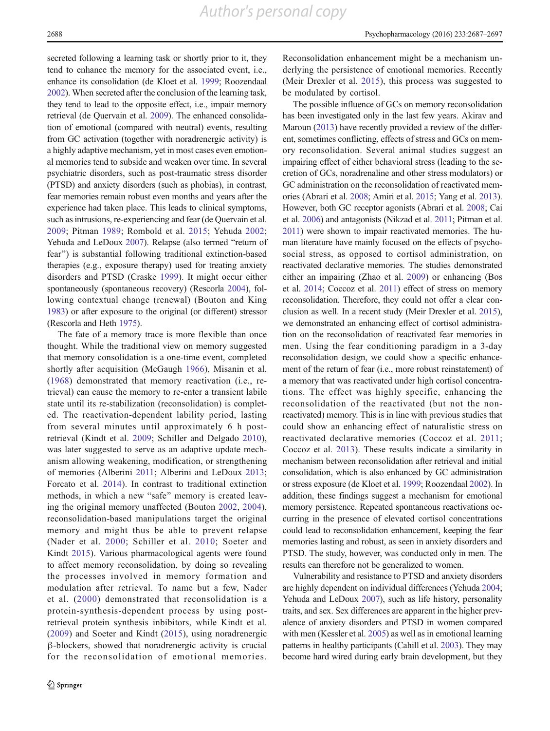secreted following a learning task or shortly prior to it, they tend to enhance the memory for the associated event, i.e., enhance its consolidation (de Kloet et al. [1999](#page-10-0); Roozendaal [2002\)](#page-11-0). When secreted after the conclusion of the learning task, they tend to lead to the opposite effect, i.e., impair memory retrieval (de Quervain et al. [2009](#page-10-0)). The enhanced consolidation of emotional (compared with neutral) events, resulting from GC activation (together with noradrenergic activity) is a highly adaptive mechanism, yet in most cases even emotional memories tend to subside and weaken over time. In several psychiatric disorders, such as post-traumatic stress disorder (PTSD) and anxiety disorders (such as phobias), in contrast, fear memories remain robust even months and years after the experience had taken place. This leads to clinical symptoms, such as intrusions, re-experiencing and fear (de Quervain et al. [2009](#page-10-0); Pitman [1989](#page-10-0); Rombold et al. [2015;](#page-11-0) Yehuda [2002](#page-11-0); Yehuda and LeDoux [2007\)](#page-11-0). Relapse (also termed "return of fear") is substantial following traditional extinction-based therapies (e.g., exposure therapy) used for treating anxiety disorders and PTSD (Craske [1999](#page-10-0)). It might occur either spontaneously (spontaneous recovery) (Rescorla [2004](#page-10-0)), following contextual change (renewal) (Bouton and King [1983\)](#page-9-0) or after exposure to the original (or different) stressor (Rescorla and Heth [1975](#page-11-0)).

The fate of a memory trace is more flexible than once thought. While the traditional view on memory suggested that memory consolidation is a one-time event, completed shortly after acquisition (McGaugh [1966](#page-10-0)), Misanin et al. [\(1968](#page-10-0)) demonstrated that memory reactivation (i.e., retrieval) can cause the memory to re-enter a transient labile state until its re-stabilization (reconsolidation) is completed. The reactivation-dependent lability period, lasting from several minutes until approximately 6 h postretrieval (Kindt et al. [2009](#page-10-0); Schiller and Delgado [2010](#page-11-0)), was later suggested to serve as an adaptive update mechanism allowing weakening, modification, or strengthening of memories (Alberini [2011](#page-9-0); Alberini and LeDoux [2013](#page-9-0); Forcato et al. [2014\)](#page-10-0). In contrast to traditional extinction methods, in which a new "safe" memory is created leaving the original memory unaffected (Bouton [2002](#page-9-0), [2004](#page-9-0)), reconsolidation-based manipulations target the original memory and might thus be able to prevent relapse (Nader et al. [2000](#page-10-0); Schiller et al. [2010](#page-11-0); Soeter and Kindt [2015](#page-11-0)). Various pharmacological agents were found to affect memory reconsolidation, by doing so revealing the processes involved in memory formation and modulation after retrieval. To name but a few, Nader et al. ([2000](#page-10-0)) demonstrated that reconsolidation is a protein-synthesis-dependent process by using postretrieval protein synthesis inbibitors, while Kindt et al. [\(2009\)](#page-10-0) and Soeter and Kindt ([2015](#page-11-0)), using noradrenergic β-blockers, showed that noradrenergic activity is crucial for the reconsolidation of emotional memories.

Reconsolidation enhancement might be a mechanism underlying the persistence of emotional memories. Recently (Meir Drexler et al. [2015\)](#page-10-0), this process was suggested to be modulated by cortisol.

The possible influence of GCs on memory reconsolidation has been investigated only in the last few years. Akirav and Maroun ([2013](#page-9-0)) have recently provided a review of the different, sometimes conflicting, effects of stress and GCs on memory reconsolidation. Several animal studies suggest an impairing effect of either behavioral stress (leading to the secretion of GCs, noradrenaline and other stress modulators) or GC administration on the reconsolidation of reactivated memories (Abrari et al. [2008;](#page-9-0) Amiri et al. [2015](#page-9-0); Yang et al. [2013\)](#page-11-0). However, both GC receptor agonists (Abrari et al. [2008](#page-9-0); Cai et al. [2006](#page-10-0)) and antagonists (Nikzad et al. [2011](#page-10-0); Pitman et al. [2011](#page-10-0)) were shown to impair reactivated memories. The human literature have mainly focused on the effects of psychosocial stress, as opposed to cortisol administration, on reactivated declarative memories. The studies demonstrated either an impairing (Zhao et al. [2009](#page-11-0)) or enhancing (Bos et al. [2014;](#page-9-0) Coccoz et al. [2011](#page-10-0)) effect of stress on memory reconsolidation. Therefore, they could not offer a clear conclusion as well. In a recent study (Meir Drexler et al. [2015\)](#page-10-0), we demonstrated an enhancing effect of cortisol administration on the reconsolidation of reactivated fear memories in men. Using the fear conditioning paradigm in a 3-day reconsolidation design, we could show a specific enhancement of the return of fear (i.e., more robust reinstatement) of a memory that was reactivated under high cortisol concentrations. The effect was highly specific, enhancing the reconsolidation of the reactivated (but not the nonreactivated) memory. This is in line with previous studies that could show an enhancing effect of naturalistic stress on reactivated declarative memories (Coccoz et al. [2011;](#page-10-0) Coccoz et al. [2013](#page-10-0)). These results indicate a similarity in mechanism between reconsolidation after retrieval and initial consolidation, which is also enhanced by GC administration or stress exposure (de Kloet et al. [1999;](#page-10-0) Roozendaal [2002](#page-11-0)). In addition, these findings suggest a mechanism for emotional memory persistence. Repeated spontaneous reactivations occurring in the presence of elevated cortisol concentrations could lead to reconsolidation enhancement, keeping the fear memories lasting and robust, as seen in anxiety disorders and PTSD. The study, however, was conducted only in men. The results can therefore not be generalized to women.

Vulnerability and resistance to PTSD and anxiety disorders are highly dependent on individual differences (Yehuda [2004;](#page-11-0) Yehuda and LeDoux [2007](#page-11-0)), such as life history, personality traits, and sex. Sex differences are apparent in the higher prevalence of anxiety disorders and PTSD in women compared with men (Kessler et al. [2005](#page-10-0)) as well as in emotional learning patterns in healthy participants (Cahill et al. [2003\)](#page-9-0). They may become hard wired during early brain development, but they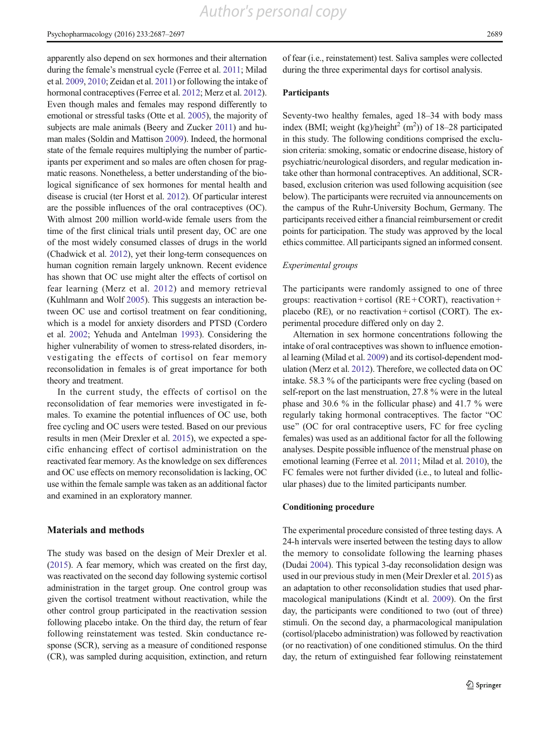apparently also depend on sex hormones and their alternation during the female's menstrual cycle (Ferree et al. [2011;](#page-10-0) Milad et al. [2009,](#page-10-0) [2010;](#page-10-0) Zeidan et al. [2011](#page-11-0)) or following the intake of hormonal contraceptives (Ferree et al. [2012;](#page-10-0) Merz et al. [2012\)](#page-10-0). Even though males and females may respond differently to emotional or stressful tasks (Otte et al. [2005](#page-10-0)), the majority of subjects are male animals (Beery and Zucker [2011](#page-9-0)) and human males (Soldin and Mattison [2009\)](#page-11-0). Indeed, the hormonal state of the female requires multiplying the number of participants per experiment and so males are often chosen for pragmatic reasons. Nonetheless, a better understanding of the biological significance of sex hormones for mental health and disease is crucial (ter Horst et al. [2012](#page-11-0)). Of particular interest are the possible influences of the oral contraceptives (OC). With almost 200 million world-wide female users from the time of the first clinical trials until present day, OC are one of the most widely consumed classes of drugs in the world (Chadwick et al. [2012](#page-10-0)), yet their long-term consequences on human cognition remain largely unknown. Recent evidence has shown that OC use might alter the effects of cortisol on fear learning (Merz et al. [2012\)](#page-10-0) and memory retrieval (Kuhlmann and Wolf [2005\)](#page-10-0). This suggests an interaction between OC use and cortisol treatment on fear conditioning, which is a model for anxiety disorders and PTSD (Cordero et al. [2002;](#page-10-0) Yehuda and Antelman [1993\)](#page-11-0). Considering the higher vulnerability of women to stress-related disorders, investigating the effects of cortisol on fear memory reconsolidation in females is of great importance for both theory and treatment.

In the current study, the effects of cortisol on the reconsolidation of fear memories were investigated in females. To examine the potential influences of OC use, both free cycling and OC users were tested. Based on our previous results in men (Meir Drexler et al. [2015](#page-10-0)), we expected a specific enhancing effect of cortisol administration on the reactivated fear memory. As the knowledge on sex differences and OC use effects on memory reconsolidation is lacking, OC use within the female sample was taken as an additional factor and examined in an exploratory manner.

#### Materials and methods

The study was based on the design of Meir Drexler et al. [\(2015\)](#page-10-0). A fear memory, which was created on the first day, was reactivated on the second day following systemic cortisol administration in the target group. One control group was given the cortisol treatment without reactivation, while the other control group participated in the reactivation session following placebo intake. On the third day, the return of fear following reinstatement was tested. Skin conductance response (SCR), serving as a measure of conditioned response (CR), was sampled during acquisition, extinction, and return of fear (i.e., reinstatement) test. Saliva samples were collected during the three experimental days for cortisol analysis.

#### Participants

Seventy-two healthy females, aged 18–34 with body mass index (BMI; weight (kg)/height<sup>2</sup> (m<sup>2</sup>)) of 18-28 participated in this study. The following conditions comprised the exclusion criteria: smoking, somatic or endocrine disease, history of psychiatric/neurological disorders, and regular medication intake other than hormonal contraceptives. An additional, SCRbased, exclusion criterion was used following acquisition (see below). The participants were recruited via announcements on the campus of the Ruhr-University Bochum, Germany. The participants received either a financial reimbursement or credit points for participation. The study was approved by the local ethics committee. All participants signed an informed consent.

#### Experimental groups

The participants were randomly assigned to one of three groups: reactivation + cortisol ( $RE + CORT$ ), reactivation + placebo (RE), or no reactivation + cortisol (CORT). The experimental procedure differed only on day 2.

Alternation in sex hormone concentrations following the intake of oral contraceptives was shown to influence emotional learning (Milad et al. [2009](#page-10-0)) and its cortisol-dependent modulation (Merz et al. [2012](#page-10-0)). Therefore, we collected data on OC intake. 58.3 % of the participants were free cycling (based on self-report on the last menstruation, 27.8 % were in the luteal phase and 30.6 % in the follicular phase) and 41.7 % were regularly taking hormonal contraceptives. The factor "OC use" (OC for oral contraceptive users, FC for free cycling females) was used as an additional factor for all the following analyses. Despite possible influence of the menstrual phase on emotional learning (Ferree et al. [2011](#page-10-0); Milad et al. [2010](#page-10-0)), the FC females were not further divided (i.e., to luteal and follicular phases) due to the limited participants number.

#### Conditioning procedure

The experimental procedure consisted of three testing days. A 24-h intervals were inserted between the testing days to allow the memory to consolidate following the learning phases (Dudai [2004\)](#page-10-0). This typical 3-day reconsolidation design was used in our previous study in men (Meir Drexler et al. [2015](#page-10-0)) as an adaptation to other reconsolidation studies that used pharmacological manipulations (Kindt et al. [2009](#page-10-0)). On the first day, the participants were conditioned to two (out of three) stimuli. On the second day, a pharmacological manipulation (cortisol/placebo administration) was followed by reactivation (or no reactivation) of one conditioned stimulus. On the third day, the return of extinguished fear following reinstatement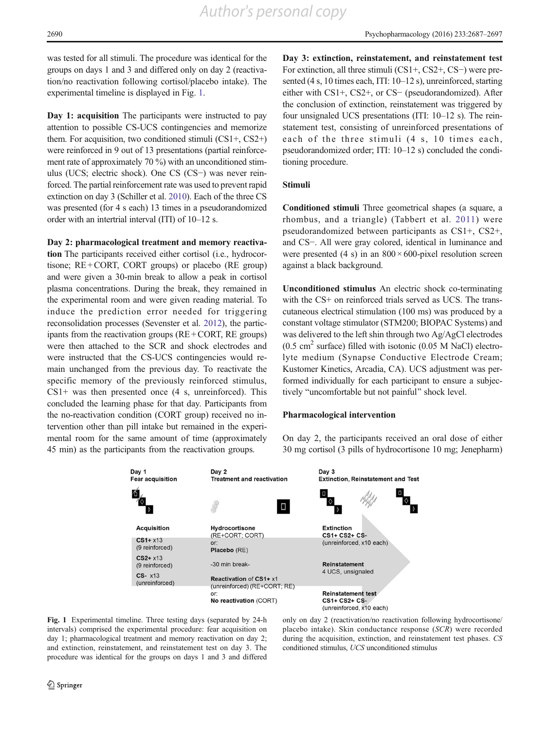*Author's personal copy*

was tested for all stimuli. The procedure was identical for the groups on days 1 and 3 and differed only on day 2 (reactivation/no reactivation following cortisol/placebo intake). The experimental timeline is displayed in Fig. 1.

Day 1: acquisition The participants were instructed to pay attention to possible CS-UCS contingencies and memorize them. For acquisition, two conditioned stimuli (CS1+, CS2+) were reinforced in 9 out of 13 presentations (partial reinforcement rate of approximately 70 %) with an unconditioned stimulus (UCS; electric shock). One CS (CS−) was never reinforced. The partial reinforcement rate was used to prevent rapid extinction on day 3 (Schiller et al. [2010](#page-11-0)). Each of the three CS was presented (for 4 s each) 13 times in a pseudorandomized order with an intertrial interval (ITI) of 10–12 s.

Day 2: pharmacological treatment and memory reactivation The participants received either cortisol (i.e., hydrocortisone;  $RE+CORT$ , CORT groups) or placebo ( $RE$  group) and were given a 30-min break to allow a peak in cortisol plasma concentrations. During the break, they remained in the experimental room and were given reading material. To induce the prediction error needed for triggering reconsolidation processes (Sevenster et al. [2012](#page-11-0)), the participants from the reactivation groups ( $RE + CORT$ ,  $RE$  groups) were then attached to the SCR and shock electrodes and were instructed that the CS-UCS contingencies would remain unchanged from the previous day. To reactivate the specific memory of the previously reinforced stimulus,  $CS1+$  was then presented once (4 s, unreinforced). This concluded the learning phase for that day. Participants from the no-reactivation condition (CORT group) received no intervention other than pill intake but remained in the experimental room for the same amount of time (approximately 45 min) as the participants from the reactivation groups.

Day 3: extinction, reinstatement, and reinstatement test For extinction, all three stimuli (CS1+, CS2+, CS−) were presented (4 s, 10 times each, ITI: 10–12 s), unreinforced, starting either with CS1+, CS2+, or CS− (pseudorandomized). After the conclusion of extinction, reinstatement was triggered by four unsignaled UCS presentations (ITI: 10–12 s). The reinstatement test, consisting of unreinforced presentations of each of the three stimuli (4 s, 10 times each, pseudorandomized order; ITI: 10–12 s) concluded the conditioning procedure.

#### Stimuli

Conditioned stimuli Three geometrical shapes (a square, a rhombus, and a triangle) (Tabbert et al. [2011](#page-11-0)) were pseudorandomized between participants as CS1+, CS2+, and CS−. All were gray colored, identical in luminance and were presented (4 s) in an  $800 \times 600$ -pixel resolution screen against a black background.

Unconditioned stimulus An electric shock co-terminating with the CS+ on reinforced trials served as UCS. The transcutaneous electrical stimulation (100 ms) was produced by a constant voltage stimulator (STM200; BIOPAC Systems) and was delivered to the left shin through two Ag/AgCl electrodes  $(0.5 \text{ cm}^2 \text{ surface})$  filled with isotonic  $(0.05 \text{ M NaCl})$  electrolyte medium (Synapse Conductive Electrode Cream; Kustomer Kinetics, Arcadia, CA). UCS adjustment was performed individually for each participant to ensure a subjectively "uncomfortable but not painful" shock level.

#### Pharmacological intervention

On day 2, the participants received an oral dose of either 30 mg cortisol (3 pills of hydrocortisone 10 mg; Jenepharm)



Fig. 1 Experimental timeline. Three testing days (separated by 24-h intervals) comprised the experimental procedure: fear acquisition on day 1; pharmacological treatment and memory reactivation on day 2; and extinction, reinstatement, and reinstatement test on day 3. The procedure was identical for the groups on days 1 and 3 and differed

only on day 2 (reactivation/no reactivation following hydrocortisone/ placebo intake). Skin conductance response (SCR) were recorded during the acquisition, extinction, and reinstatement test phases. CS conditioned stimulus, UCS unconditioned stimulus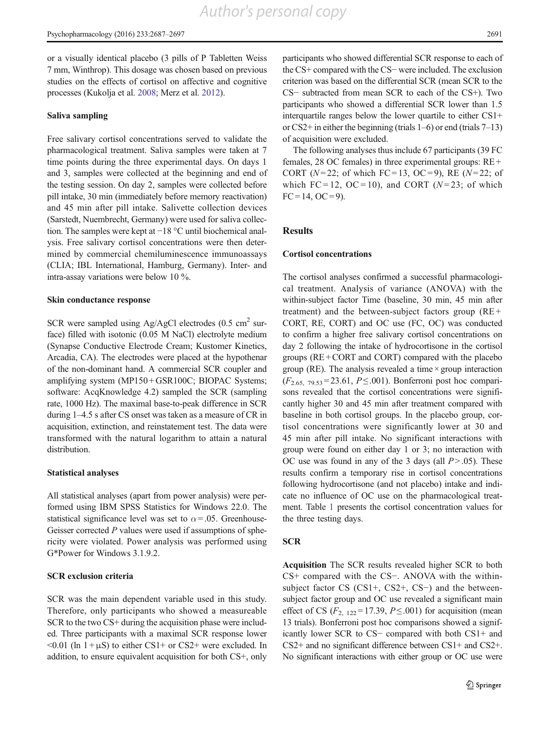or a visually identical placebo (3 pills of P Tabletten Weiss 7 mm, Winthrop). This dosage was chosen based on previous studies on the effects of cortisol on affective and cognitive processes (Kukolja et al. [2008;](#page-10-0) Merz et al. [2012](#page-10-0)).

#### Saliva sampling

Free salivary cortisol concentrations served to validate the pharmacological treatment. Saliva samples were taken at 7 time points during the three experimental days. On days 1 and 3, samples were collected at the beginning and end of the testing session. On day 2, samples were collected before pill intake, 30 min (immediately before memory reactivation) and 45 min after pill intake. Salivette collection devices (Sarstedt, Nuembrecht, Germany) were used for saliva collection. The samples were kept at −18 °C until biochemical analysis. Free salivary cortisol concentrations were then determined by commercial chemiluminescence immunoassays (CLIA; IBL International, Hamburg, Germany). Inter- and intra-assay variations were below 10 %.

#### Skin conductance response

SCR were sampled using Ag/AgCl electrodes  $(0.5 \text{ cm}^2 \text{ sur-}$ face) filled with isotonic (0.05 M NaCl) electrolyte medium (Synapse Conductive Electrode Cream; Kustomer Kinetics, Arcadia, CA). The electrodes were placed at the hypothenar of the non-dominant hand. A commercial SCR coupler and amplifying system (MP150+GSR100C; BIOPAC Systems; software: AcqKnowledge 4.2) sampled the SCR (sampling rate, 1000 Hz). The maximal base-to-peak difference in SCR during 1–4.5 s after CS onset was taken as a measure of CR in acquisition, extinction, and reinstatement test. The data were transformed with the natural logarithm to attain a natural distribution.

#### Statistical analyses

All statistical analyses (apart from power analysis) were performed using IBM SPSS Statistics for Windows 22.0. The statistical significance level was set to  $\alpha$  = .05. Greenhouse-Geisser corrected  $P$  values were used if assumptions of sphericity were violated. Power analysis was performed using G\*Power for Windows 3.1.9.2.

#### SCR exclusion criteria

SCR was the main dependent variable used in this study. Therefore, only participants who showed a measureable SCR to the two CS+ during the acquisition phase were included. Three participants with a maximal SCR response lower  $\leq 0.01$  (ln 1+ $\mu$ S) to either CS1+ or CS2+ were excluded. In addition, to ensure equivalent acquisition for both CS+, only participants who showed differential SCR response to each of the CS+ compared with the CS− were included. The exclusion criterion was based on the differential SCR (mean SCR to the CS− subtracted from mean SCR to each of the CS+). Two participants who showed a differential SCR lower than 1.5 interquartile ranges below the lower quartile to either CS1+ or CS2+ in either the beginning (trials 1–6) or end (trials 7–13) of acquisition were excluded.

The following analyses thus include 67 participants (39 FC females, 28 OC females) in three experimental groups: RE + CORT ( $N=22$ ; of which FC = 13, OC = 9), RE ( $N=22$ ; of which FC = 12, OC = 10), and CORT ( $N=23$ ; of which  $FC = 14, OC = 9$ ).

#### Results

#### Cortisol concentrations

The cortisol analyses confirmed a successful pharmacological treatment. Analysis of variance (ANOVA) with the within-subject factor Time (baseline, 30 min, 45 min after treatment) and the between-subject factors group  $(RE +$ CORT, RE, CORT) and OC use (FC, OC) was conducted to confirm a higher free salivary cortisol concentrations on day 2 following the intake of hydrocortisone in the cortisol groups  $(RE + CORT)$  compared with the placebo group (RE). The analysis revealed a time × group interaction  $(F_{2.65, 79.53} = 23.61, P \leq .001)$ . Bonferroni post hoc comparisons revealed that the cortisol concentrations were significantly higher 30 and 45 min after treatment compared with baseline in both cortisol groups. In the placebo group, cortisol concentrations were significantly lower at 30 and 45 min after pill intake. No significant interactions with group were found on either day 1 or 3; no interaction with OC use was found in any of the 3 days (all  $P > .05$ ). These results confirm a temporary rise in cortisol concentrations following hydrocortisone (and not placebo) intake and indicate no influence of OC use on the pharmacological treatment. Table [1](#page-6-0) presents the cortisol concentration values for the three testing days.

#### **SCR**

Acquisition The SCR results revealed higher SCR to both CS+ compared with the CS−. ANOVA with the withinsubject factor CS (CS1+, CS2+, CS−) and the betweensubject factor group and OC use revealed a significant main effect of CS ( $F_{2, 122}$ =17.39,  $P \leq .001$ ) for acquisition (mean 13 trials). Bonferroni post hoc comparisons showed a significantly lower SCR to CS− compared with both CS1+ and CS2+ and no significant difference between CS1+ and CS2+. No significant interactions with either group or OC use were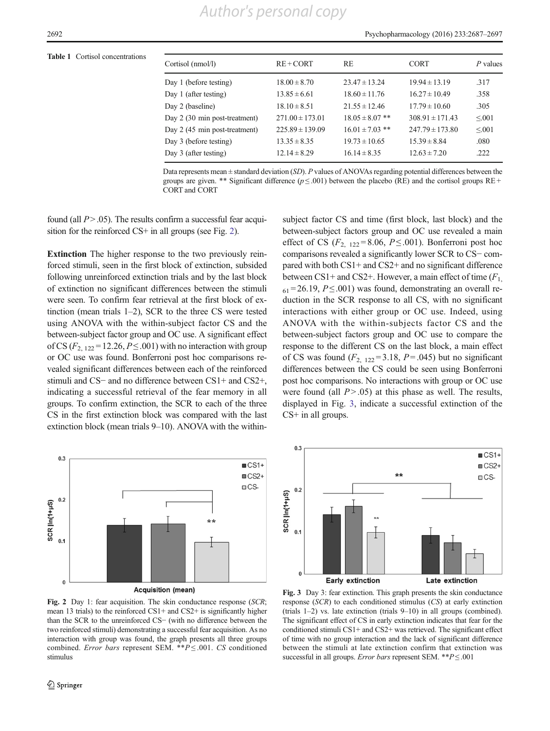#### <span id="page-6-0"></span>Table 1 Cortisol concentrations

| Cortisol (nmol/l)             | $RE+CORT$           | <b>RE</b>           | <b>CORT</b>         | $P$ values  |
|-------------------------------|---------------------|---------------------|---------------------|-------------|
| Day 1 (before testing)        | $18.00 \pm 8.70$    | $23.47 \pm 13.24$   | $19.94 \pm 13.19$   | .317        |
| Day 1 (after testing)         | $13.85 \pm 6.61$    | $18.60 \pm 11.76$   | $16.27 \pm 10.49$   | .358        |
| Day 2 (baseline)              | $18.10 \pm 8.51$    | $21.55 \pm 12.46$   | $17.79 \pm 10.60$   | .305        |
| Day 2 (30 min post-treatment) | $271.00 \pm 173.01$ | $18.05 \pm 8.07$ ** | $308.91 \pm 171.43$ | $\leq 0.01$ |
| Day 2 (45 min post-treatment) | $225.89 \pm 139.09$ | $16.01 \pm 7.03$ ** | $247.79 \pm 173.80$ | $\leq 001$  |
| Day 3 (before testing)        | $13.35 \pm 8.35$    | $19.73 \pm 10.65$   | $15.39 \pm 8.84$    | .080        |
| Day 3 (after testing)         | $12.14 \pm 8.29$    | $16.14 \pm 8.35$    | $12.63 \pm 7.20$    | .222        |

Data represents mean  $\pm$  standard deviation (SD). P values of ANOVAs regarding potential differences between the groups are given. \*\* Significant difference ( $p \le 0.001$ ) between the placebo (RE) and the cortisol groups RE+ CORT and CORT

found (all  $P > .05$ ). The results confirm a successful fear acquisition for the reinforced CS+ in all groups (see Fig. 2).

Extinction The higher response to the two previously reinforced stimuli, seen in the first block of extinction, subsided following unreinforced extinction trials and by the last block of extinction no significant differences between the stimuli were seen. To confirm fear retrieval at the first block of extinction (mean trials 1–2), SCR to the three CS were tested using ANOVA with the within-subject factor CS and the between-subject factor group and OC use. A significant effect of CS  $(F_{2, 122} = 12.26, P \leq .001)$  with no interaction with group or OC use was found. Bonferroni post hoc comparisons revealed significant differences between each of the reinforced stimuli and CS− and no difference between CS1+ and CS2+, indicating a successful retrieval of the fear memory in all groups. To confirm extinction, the SCR to each of the three CS in the first extinction block was compared with the last extinction block (mean trials 9–10). ANOVA with the within-



Fig. 2 Day 1: fear acquisition. The skin conductance response (SCR; mean 13 trials) to the reinforced CS1+ and CS2+ is significantly higher than the SCR to the unreinforced CS− (with no difference between the two reinforced stimuli) demonstrating a successful fear acquisition. As no interaction with group was found, the graph presents all three groups combined. Error bars represent SEM. \*\* $P \leq .001$ . CS conditioned stimulus

subject factor CS and time (first block, last block) and the between-subject factors group and OC use revealed a main effect of CS ( $F_{2, 122} = 8.06$ ,  $P \le 0.001$ ). Bonferroni post hoc comparisons revealed a significantly lower SCR to CS− compared with both CS1+ and CS2+ and no significant difference between CS1+ and CS2+. However, a main effect of time  $(F_1)$ ,  $_{61}$  = 26.19, P  $\leq$  .001) was found, demonstrating an overall reduction in the SCR response to all CS, with no significant interactions with either group or OC use. Indeed, using ANOVA with the within-subjects factor CS and the between-subject factors group and OC use to compare the response to the different CS on the last block, a main effect of CS was found  $(F_{2, 122} = 3.18, P = .045)$  but no significant differences between the CS could be seen using Bonferroni post hoc comparisons. No interactions with group or OC use were found (all  $P > .05$ ) at this phase as well. The results, displayed in Fig. 3, indicate a successful extinction of the CS+ in all groups.



Fig. 3 Day 3: fear extinction. This graph presents the skin conductance response (SCR) to each conditioned stimulus (CS) at early extinction (trials 1–2) vs. late extinction (trials 9–10) in all groups (combined). The significant effect of CS in early extinction indicates that fear for the conditioned stimuli CS1+ and CS2+ was retrieved. The significant effect of time with no group interaction and the lack of significant difference between the stimuli at late extinction confirm that extinction was successful in all groups. Error bars represent SEM. \*\* $P \le 0.001$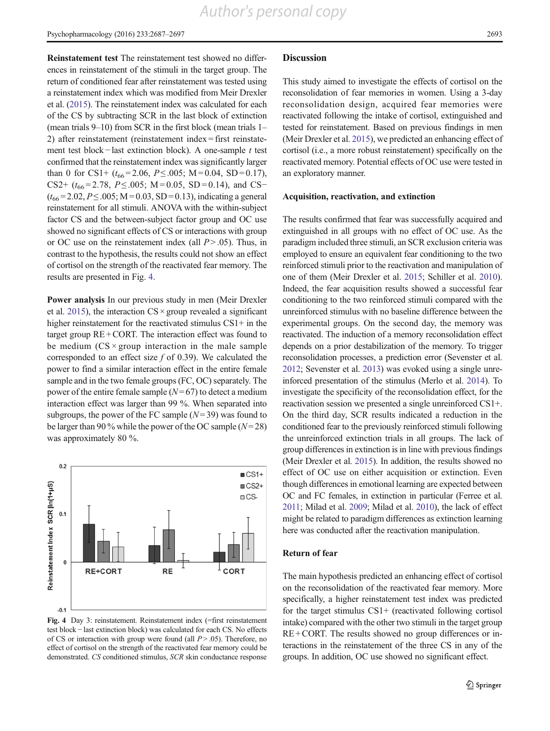Reinstatement test The reinstatement test showed no differences in reinstatement of the stimuli in the target group. The return of conditioned fear after reinstatement was tested using a reinstatement index which was modified from Meir Drexler et al. [\(2015\)](#page-10-0). The reinstatement index was calculated for each of the CS by subtracting SCR in the last block of extinction (mean trials 9–10) from SCR in the first block (mean trials 1– 2) after reinstatement (reinstatement index = first reinstatement test block – last extinction block). A one-sample  $t$  test confirmed that the reinstatement index was significantly larger than 0 for CS1+  $(t_{66} = 2.06, P \le 0.005; M = 0.04, SD = 0.17)$ , CS2+ ( $t_{66}$ =2.78,  $P \le 0.005$ ; M=0.05, SD=0.14), and CS- $(t_{66} = 2.02, P \le 0.005; M = 0.03, SD = 0.13)$ , indicating a general reinstatement for all stimuli. ANOVA with the within-subject factor CS and the between-subject factor group and OC use showed no significant effects of CS or interactions with group or OC use on the reinstatement index (all  $P > .05$ ). Thus, in contrast to the hypothesis, the results could not show an effect of cortisol on the strength of the reactivated fear memory. The results are presented in Fig. 4.

Power analysis In our previous study in men (Meir Drexler et al. [2015\)](#page-10-0), the interaction  $CS \times$  group revealed a significant higher reinstatement for the reactivated stimulus CS1+ in the target group  $RE + CORT$ . The interaction effect was found to be medium  $(CS \times group$  interaction in the male sample corresponded to an effect size  $f$  of 0.39). We calculated the power to find a similar interaction effect in the entire female sample and in the two female groups (FC, OC) separately. The power of the entire female sample  $(N= 67)$  to detect a medium interaction effect was larger than 99 %. When separated into subgroups, the power of the FC sample  $(N=39)$  was found to be larger than 90 % while the power of the OC sample  $(N= 28)$ was approximately 80 %.



Fig. 4 Day 3: reinstatement. Reinstatement index (=first reinstatement test block − last extinction block) was calculated for each CS. No effects of CS or interaction with group were found (all  $P > .05$ ). Therefore, no effect of cortisol on the strength of the reactivated fear memory could be demonstrated. CS conditioned stimulus, SCR skin conductance response

#### **Discussion**

This study aimed to investigate the effects of cortisol on the reconsolidation of fear memories in women. Using a 3-day reconsolidation design, acquired fear memories were reactivated following the intake of cortisol, extinguished and tested for reinstatement. Based on previous findings in men (Meir Drexler et al. [2015\)](#page-10-0), we predicted an enhancing effect of cortisol (i.e., a more robust reinstatement) specifically on the reactivated memory. Potential effects of OC use were tested in an exploratory manner.

#### Acquisition, reactivation, and extinction

The results confirmed that fear was successfully acquired and extinguished in all groups with no effect of OC use. As the paradigm included three stimuli, an SCR exclusion criteria was employed to ensure an equivalent fear conditioning to the two reinforced stimuli prior to the reactivation and manipulation of one of them (Meir Drexler et al. [2015](#page-10-0); Schiller et al. [2010\)](#page-11-0). Indeed, the fear acquisition results showed a successful fear conditioning to the two reinforced stimuli compared with the unreinforced stimulus with no baseline difference between the experimental groups. On the second day, the memory was reactivated. The induction of a memory reconsolidation effect depends on a prior destabilization of the memory. To trigger reconsolidation processes, a prediction error (Sevenster et al. [2012;](#page-11-0) Sevenster et al. [2013](#page-11-0)) was evoked using a single unreinforced presentation of the stimulus (Merlo et al. [2014](#page-10-0)). To investigate the specificity of the reconsolidation effect, for the reactivation session we presented a single unreinforced CS1+. On the third day, SCR results indicated a reduction in the conditioned fear to the previously reinforced stimuli following the unreinforced extinction trials in all groups. The lack of group differences in extinction is in line with previous findings (Meir Drexler et al. [2015\)](#page-10-0). In addition, the results showed no effect of OC use on either acquisition or extinction. Even though differences in emotional learning are expected between OC and FC females, in extinction in particular (Ferree et al. [2011](#page-10-0); Milad et al. [2009;](#page-10-0) Milad et al. [2010](#page-10-0)), the lack of effect might be related to paradigm differences as extinction learning here was conducted after the reactivation manipulation.

#### Return of fear

The main hypothesis predicted an enhancing effect of cortisol on the reconsolidation of the reactivated fear memory. More specifically, a higher reinstatement test index was predicted for the target stimulus CS1+ (reactivated following cortisol intake) compared with the other two stimuli in the target group  $RE + CORT$ . The results showed no group differences or interactions in the reinstatement of the three CS in any of the groups. In addition, OC use showed no significant effect.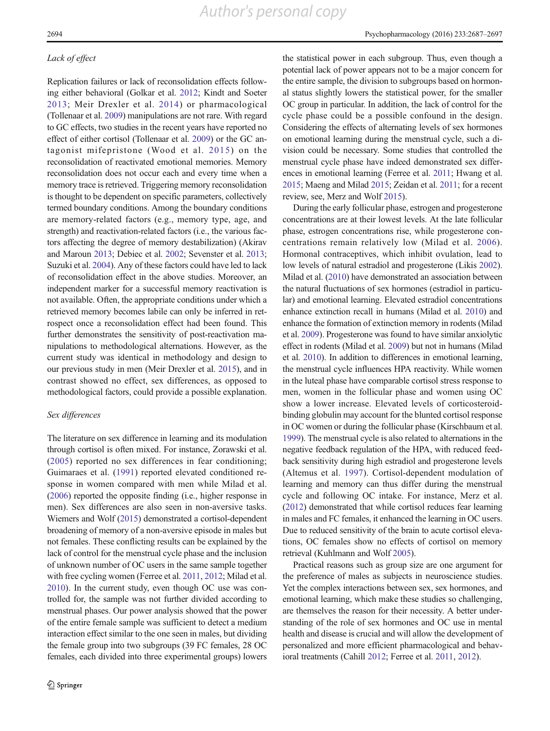#### Lack of effect

Replication failures or lack of reconsolidation effects following either behavioral (Golkar et al. [2012](#page-10-0); Kindt and Soeter [2013](#page-10-0); Meir Drexler et al. [2014](#page-10-0)) or pharmacological (Tollenaar et al. [2009\)](#page-11-0) manipulations are not rare. With regard to GC effects, two studies in the recent years have reported no effect of either cortisol (Tollenaar et al. [2009\)](#page-11-0) or the GC antagonist mifepristone (Wood et al. [2015\)](#page-11-0) on the reconsolidation of reactivated emotional memories. Memory reconsolidation does not occur each and every time when a memory trace is retrieved. Triggering memory reconsolidation is thought to be dependent on specific parameters, collectively termed boundary conditions. Among the boundary conditions are memory-related factors (e.g., memory type, age, and strength) and reactivation-related factors (i.e., the various factors affecting the degree of memory destabilization) (Akirav and Maroun [2013](#page-9-0); Debiec et al. [2002;](#page-10-0) Sevenster et al. [2013](#page-11-0); Suzuki et al. [2004\)](#page-11-0). Any of these factors could have led to lack of reconsolidation effect in the above studies. Moreover, an independent marker for a successful memory reactivation is not available. Often, the appropriate conditions under which a retrieved memory becomes labile can only be inferred in retrospect once a reconsolidation effect had been found. This further demonstrates the sensitivity of post-reactivation manipulations to methodological alternations. However, as the current study was identical in methodology and design to our previous study in men (Meir Drexler et al. [2015](#page-10-0)), and in contrast showed no effect, sex differences, as opposed to methodological factors, could provide a possible explanation.

#### Sex differences

The literature on sex difference in learning and its modulation through cortisol is often mixed. For instance, Zorawski et al. [\(2005](#page-11-0)) reported no sex differences in fear conditioning; Guimaraes et al. ([1991\)](#page-10-0) reported elevated conditioned response in women compared with men while Milad et al. [\(2006\)](#page-10-0) reported the opposite finding (i.e., higher response in men). Sex differences are also seen in non-aversive tasks. Wiemers and Wolf [\(2015\)](#page-11-0) demonstrated a cortisol-dependent broadening of memory of a non-aversive episode in males but not females. These conflicting results can be explained by the lack of control for the menstrual cycle phase and the inclusion of unknown number of OC users in the same sample together with free cycling women (Ferree et al. [2011](#page-10-0), [2012](#page-10-0); Milad et al. [2010\)](#page-10-0). In the current study, even though OC use was controlled for, the sample was not further divided according to menstrual phases. Our power analysis showed that the power of the entire female sample was sufficient to detect a medium interaction effect similar to the one seen in males, but dividing the female group into two subgroups (39 FC females, 28 OC females, each divided into three experimental groups) lowers

the statistical power in each subgroup. Thus, even though a potential lack of power appears not to be a major concern for the entire sample, the division to subgroups based on hormonal status slightly lowers the statistical power, for the smaller OC group in particular. In addition, the lack of control for the cycle phase could be a possible confound in the design. Considering the effects of alternating levels of sex hormones on emotional learning during the menstrual cycle, such a division could be necessary. Some studies that controlled the menstrual cycle phase have indeed demonstrated sex differences in emotional learning (Ferree et al. [2011;](#page-10-0) Hwang et al. [2015;](#page-10-0) Maeng and Milad [2015](#page-10-0); Zeidan et al. [2011;](#page-11-0) for a recent review, see, Merz and Wolf [2015](#page-10-0)).

During the early follicular phase, estrogen and progesterone concentrations are at their lowest levels. At the late follicular phase, estrogen concentrations rise, while progesterone concentrations remain relatively low (Milad et al. [2006](#page-10-0)). Hormonal contraceptives, which inhibit ovulation, lead to low levels of natural estradiol and progesterone (Likis [2002\)](#page-10-0). Milad et al. ([2010](#page-10-0)) have demonstrated an association between the natural fluctuations of sex hormones (estradiol in particular) and emotional learning. Elevated estradiol concentrations enhance extinction recall in humans (Milad et al. [2010\)](#page-10-0) and enhance the formation of extinction memory in rodents (Milad et al. [2009\)](#page-10-0). Progesterone was found to have similar anxiolytic effect in rodents (Milad et al. [2009](#page-10-0)) but not in humans (Milad et al. [2010\)](#page-10-0). In addition to differences in emotional learning, the menstrual cycle influences HPA reactivity. While women in the luteal phase have comparable cortisol stress response to men, women in the follicular phase and women using OC show a lower increase. Elevated levels of corticosteroidbinding globulin may account for the blunted cortisol response in OC women or during the follicular phase (Kirschbaum et al. [1999\)](#page-10-0). The menstrual cycle is also related to alternations in the negative feedback regulation of the HPA, with reduced feedback sensitivity during high estradiol and progesterone levels (Altemus et al. [1997\)](#page-9-0). Cortisol-dependent modulation of learning and memory can thus differ during the menstrual cycle and following OC intake. For instance, Merz et al. [\(2012\)](#page-10-0) demonstrated that while cortisol reduces fear learning in males and FC females, it enhanced the learning in OC users. Due to reduced sensitivity of the brain to acute cortisol elevations, OC females show no effects of cortisol on memory retrieval (Kuhlmann and Wolf [2005](#page-10-0)).

Practical reasons such as group size are one argument for the preference of males as subjects in neuroscience studies. Yet the complex interactions between sex, sex hormones, and emotional learning, which make these studies so challenging, are themselves the reason for their necessity. A better understanding of the role of sex hormones and OC use in mental health and disease is crucial and will allow the development of personalized and more efficient pharmacological and behavioral treatments (Cahill [2012;](#page-9-0) Ferree et al. [2011](#page-10-0), [2012\)](#page-10-0).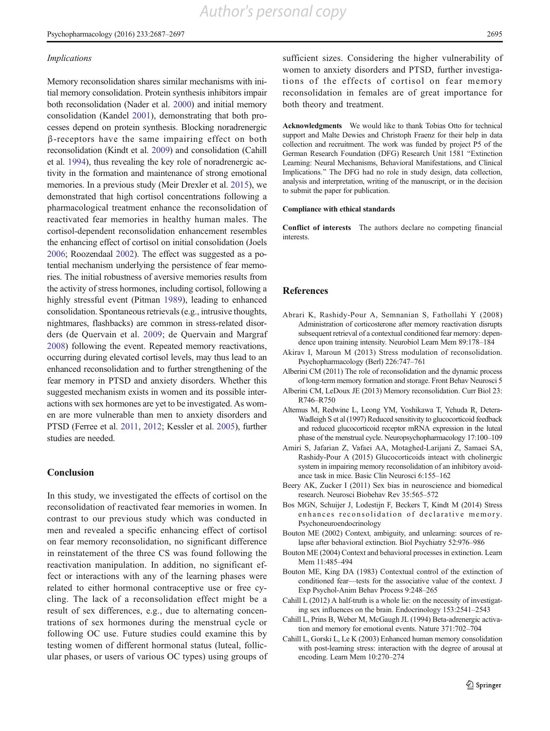#### <span id="page-9-0"></span>Implications

Memory reconsolidation shares similar mechanisms with initial memory consolidation. Protein synthesis inhibitors impair both reconsolidation (Nader et al. [2000](#page-10-0)) and initial memory consolidation (Kandel [2001](#page-10-0)), demonstrating that both processes depend on protein synthesis. Blocking noradrenergic β-receptors have the same impairing effect on both reconsolidation (Kindt et al. [2009\)](#page-10-0) and consolidation (Cahill et al. 1994), thus revealing the key role of noradrenergic activity in the formation and maintenance of strong emotional memories. In a previous study (Meir Drexler et al. [2015](#page-10-0)), we demonstrated that high cortisol concentrations following a pharmacological treatment enhance the reconsolidation of reactivated fear memories in healthy human males. The cortisol-dependent reconsolidation enhancement resembles the enhancing effect of cortisol on initial consolidation (Joels [2006;](#page-10-0) Roozendaal [2002](#page-11-0)). The effect was suggested as a potential mechanism underlying the persistence of fear memories. The initial robustness of aversive memories results from the activity of stress hormones, including cortisol, following a highly stressful event (Pitman [1989](#page-10-0)), leading to enhanced consolidation. Spontaneous retrievals (e.g., intrusive thoughts, nightmares, flashbacks) are common in stress-related disorders (de Quervain et al. [2009;](#page-10-0) de Quervain and Margraf [2008\)](#page-10-0) following the event. Repeated memory reactivations, occurring during elevated cortisol levels, may thus lead to an enhanced reconsolidation and to further strengthening of the fear memory in PTSD and anxiety disorders. Whether this suggested mechanism exists in women and its possible interactions with sex hormones are yet to be investigated. As women are more vulnerable than men to anxiety disorders and PTSD (Ferree et al. [2011](#page-10-0), [2012](#page-10-0); Kessler et al. [2005](#page-10-0)), further studies are needed.

#### Conclusion

In this study, we investigated the effects of cortisol on the reconsolidation of reactivated fear memories in women. In contrast to our previous study which was conducted in men and revealed a specific enhancing effect of cortisol on fear memory reconsolidation, no significant difference in reinstatement of the three CS was found following the reactivation manipulation. In addition, no significant effect or interactions with any of the learning phases were related to either hormonal contraceptive use or free cycling. The lack of a reconsolidation effect might be a result of sex differences, e.g., due to alternating concentrations of sex hormones during the menstrual cycle or following OC use. Future studies could examine this by testing women of different hormonal status (luteal, follicular phases, or users of various OC types) using groups of sufficient sizes. Considering the higher vulnerability of women to anxiety disorders and PTSD, further investigations of the effects of cortisol on fear memory reconsolidation in females are of great importance for both theory and treatment.

Acknowledgments We would like to thank Tobias Otto for technical support and Malte Dewies and Christoph Fraenz for their help in data collection and recruitment. The work was funded by project P5 of the German Research Foundation (DFG) Research Unit 1581 "Extinction Learning: Neural Mechanisms, Behavioral Manifestations, and Clinical Implications." The DFG had no role in study design, data collection, analysis and interpretation, writing of the manuscript, or in the decision to submit the paper for publication.

#### Compliance with ethical standards

Conflict of interests The authors declare no competing financial interests.

#### References

- Abrari K, Rashidy-Pour A, Semnanian S, Fathollahi Y (2008) Administration of corticosterone after memory reactivation disrupts subsequent retrieval of a contextual conditioned fear memory: dependence upon training intensity. Neurobiol Learn Mem 89:178–184
- Akirav I, Maroun M (2013) Stress modulation of reconsolidation. Psychopharmacology (Berl) 226:747–761
- Alberini CM (2011) The role of reconsolidation and the dynamic process of long-term memory formation and storage. Front Behav Neurosci 5
- Alberini CM, LeDoux JE (2013) Memory reconsolidation. Curr Biol 23: R746–R750
- Altemus M, Redwine L, Leong YM, Yoshikawa T, Yehuda R, Detera-Wadleigh S et al (1997) Reduced sensitivity to glucocorticoid feedback and reduced glucocorticoid receptor mRNA expression in the luteal phase of the menstrual cycle. Neuropsychopharmacology 17:100–109
- Amiri S, Jafarian Z, Vafaei AA, Motaghed-Larijani Z, Samaei SA, Rashidy-Pour A (2015) Glucocorticoids inteact with cholinergic system in impairing memory reconsolidation of an inhibitory avoidance task in mice. Basic Clin Neurosci 6:155–162
- Beery AK, Zucker I (2011) Sex bias in neuroscience and biomedical research. Neurosci Biobehav Rev 35:565–572
- Bos MGN, Schuijer J, Lodestijn F, Beckers T, Kindt M (2014) Stress enhances reconsolidation of declarative memory. Psychoneuroendocrinology
- Bouton ME (2002) Context, ambiguity, and unlearning: sources of relapse after behavioral extinction. Biol Psychiatry 52:976–986
- Bouton ME (2004) Context and behavioral processes in extinction. Learn Mem 11:485–494
- Bouton ME, King DA (1983) Contextual control of the extinction of conditioned fear—tests for the associative value of the context. J Exp Psychol-Anim Behav Process 9:248–265
- Cahill L (2012) A half-truth is a whole lie: on the necessity of investigating sex influences on the brain. Endocrinology 153:2541–2543
- Cahill L, Prins B, Weber M, McGaugh JL (1994) Beta-adrenergic activation and memory for emotional events. Nature 371:702–704
- Cahill L, Gorski L, Le K (2003) Enhanced human memory consolidation with post-learning stress: interaction with the degree of arousal at encoding. Learn Mem 10:270–274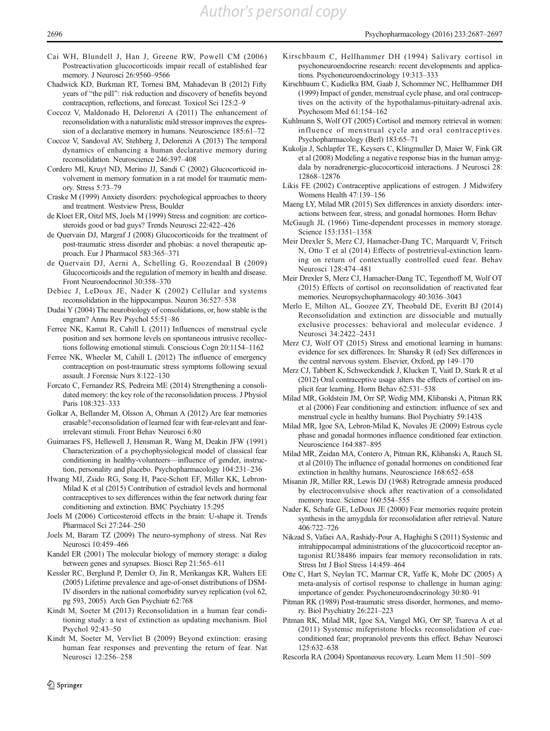<span id="page-10-0"></span>Cai WH, Blundell J, Han J, Greene RW, Powell CM (2006) Postreactivation glucocorticoids impair recall of established fear memory. J Neurosci 26:9560–9566

Chadwick KD, Burkman RT, Tornesi BM, Mahadevan B (2012) Fifty years of "the pill": risk reduction and discovery of benefits beyond contraception, reflections, and forecast. Toxicol Sci 125:2–9

Coccoz V, Maldonado H, Delorenzi A (2011) The enhancement of reconsolidation with a naturalistic mild stressor improves the expression of a declarative memory in humans. Neuroscience 185:61–72

Coccoz V, Sandoval AV, Stehberg J, Delorenzi A (2013) The temporal dynamics of enhancing a human declarative memory during reconsolidation. Neuroscience 246:397–408

Cordero MI, Kruyt ND, Merino JJ, Sandi C (2002) Glucocorticoid involvement in memory formation in a rat model for traumatic memory. Stress 5:73–79

- Craske M (1999) Anxiety disorders: psychological approaches to theory and treatment. Westview Press, Boulder
- de Kloet ER, Oitzl MS, Joels M (1999) Stress and cognition: are corticosteroids good or bad guys? Trends Neurosci 22:422–426
- de Quervain DJ, Margraf J (2008) Glucocorticoids for the treatment of post-traumatic stress disorder and phobias: a novel therapeutic approach. Eur J Pharmacol 583:365–371
- de Quervain DJ, Aerni A, Schelling G, Roozendaal B (2009) Glucocorticoids and the regulation of memory in health and disease. Front Neuroendocrinol 30:358–370
- Debiec J, LeDoux JE, Nader K (2002) Cellular and systems reconsolidation in the hippocampus. Neuron 36:527–538
- Dudai Y (2004) The neurobiology of consolidations, or, how stable is the engram? Annu Rev Psychol 55:51–86

Ferree NK, Kamat R, Cahill L (2011) Influences of menstrual cycle position and sex hormone levels on spontaneous intrusive recollections following emotional stimuli. Conscious Cogn 20:1154–1162

- Ferree NK, Wheeler M, Cahill L (2012) The influence of emergency contraception on post-traumatic stress symptoms following sexual assault. J Forensic Nurs 8:122–130
- Forcato C, Fernandez RS, Pedreira ME (2014) Strengthening a consolidated memory: the key role of the reconsolidation process. J Physiol Paris 108:323–333
- Golkar A, Bellander M, Olsson A, Ohman A (2012) Are fear memories erasable?-reconsolidation of learned fear with fear-relevant and fearirrelevant stimuli. Front Behav Neurosci 6:80
- Guimaraes FS, Hellewell J, Hensman R, Wang M, Deakin JFW (1991) Characterization of a psychophysiological model of classical fear conditioning in healthy-volunteers—influence of gender, instruction, personality and placebo. Psychopharmacology 104:231–236
- Hwang MJ, Zsido RG, Song H, Pace-Schott EF, Miller KK, Lebron-Milad K et al (2015) Contribution of estradiol levels and hormonal contraceptives to sex differences within the fear network during fear conditioning and extinction. BMC Psychiatry 15:295
- Joels M (2006) Corticosteroid effects in the brain: U-shape it. Trends Pharmacol Sci 27:244–250
- Joels M, Baram TZ (2009) The neuro-symphony of stress. Nat Rev Neurosci 10:459–466
- Kandel ER (2001) The molecular biology of memory storage: a dialog between genes and synapses. Biosci Rep 21:565–611
- Kessler RC, Berglund P, Demler O, Jin R, Merikangas KR, Walters EE (2005) Lifetime prevalence and age-of-onset distributions of DSM-IV disorders in the national comorbidity survey replication (vol 62, pg 593, 2005). Arch Gen Psychiatr 62:768
- Kindt M, Soeter M (2013) Reconsolidation in a human fear conditioning study: a test of extinction as updating mechanism. Biol Psychol 92:43–50
- Kindt M, Soeter M, Vervliet B (2009) Beyond extinction: erasing human fear responses and preventing the return of fear. Nat Neurosci 12:256–258
- Kirschbaum C, Hellhammer DH (1994) Salivary cortisol in psychoneuroendocrine research: recent developments and applications. Psychoneuroendocrinology 19:313–333
- Kirschbaum C, Kudielka BM, Gaab J, Schommer NC, Hellhammer DH (1999) Impact of gender, menstrual cycle phase, and oral contraceptives on the activity of the hypothalamus-pituitary-adrenal axis. Psychosom Med 61:154–162
- Kuhlmann S, Wolf OT (2005) Cortisol and memory retrieval in women: influence of menstrual cycle and oral contraceptives. Psychopharmacology (Berl) 183:65–71
- Kukolja J, Schlapfer TE, Keysers C, Klingmuller D, Maier W, Fink GR et al (2008) Modeling a negative response bias in the human amygdala by noradrenergic-glucocorticoid interactions. J Neurosci 28: 12868–12876
- Likis FE (2002) Contraceptive applications of estrogen. J Midwifery Womens Health 47:139–156
- Maeng LY, Milad MR (2015) Sex differences in anxiety disorders: interactions between fear, stress, and gonadal hormones. Horm Behav
- McGaugh JL (1966) Time-dependent processes in memory storage. Science 153:1351–1358
- Meir Drexler S, Merz CJ, Hamacher-Dang TC, Marquardt V, Fritsch N, Otto T et al (2014) Effects of postretrieval-extinction learning on return of contextually controlled cued fear. Behav Neurosci 128:474–481
- Meir Drexler S, Merz CJ, Hamacher-Dang TC, Tegenthoff M, Wolf OT (2015) Effects of cortisol on reconsolidation of reactivated fear memories. Neuropsychopharmacology 40:3036–3043
- Merlo E, Milton AL, Goozee ZY, Theobald DE, Everitt BJ (2014) Reconsolidation and extinction are dissociable and mutually exclusive processes: behavioral and molecular evidence. J Neurosci 34:2422–2431
- Merz CJ, Wolf OT (2015) Stress and emotional learning in humans: evidence for sex differences. In: Shansky R (ed) Sex differences in the central nervous system. Elsevier, Oxford, pp 149–170
- Merz CJ, Tabbert K, Schweckendiek J, Klucken T, Vaitl D, Stark R et al (2012) Oral contraceptive usage alters the effects of cortisol on implicit fear learning. Horm Behav 62:531–538
- Milad MR, Goldstein JM, Orr SP, Wedig MM, Klibanski A, Pitman RK et al (2006) Fear conditioning and extinction: influence of sex and menstrual cycle in healthy humans. Biol Psychiatry 59:143S
- Milad MR, Igoe SA, Lebron-Milad K, Novales JE (2009) Estrous cycle phase and gonadal hormones influence conditioned fear extinction. Neuroscience 164:887–895
- Milad MR, Zeidan MA, Contero A, Pitman RK, Klibanski A, Rauch SL et al (2010) The influence of gonadal hormones on conditioned fear extinction in healthy humans. Neuroscience 168:652–658
- Misanin JR, Miller RR, Lewis DJ (1968) Retrograde amnesia produced by electroconvulsive shock after reactivation of a consolidated memory trace. Science 160:554–555
- Nader K, Schafe GE, LeDoux JE (2000) Fear memories require protein synthesis in the amygdala for reconsolidation after retrieval. Nature 406:722–726
- Nikzad S, Vafaei AA, Rashidy-Pour A, Haghighi S (2011) Systemic and intrahippocampal administrations of the glucocorticoid receptor antagonist RU38486 impairs fear memory reconsolidation in rats. Stress Int J Biol Stress 14:459–464
- Otte C, Hart S, Neylan TC, Marmar CR, Yaffe K, Mohr DC (2005) A meta-analysis of cortisol response to challenge in human aging: importance of gender. Psychoneuroendocrinology 30:80–91
- Pitman RK (1989) Post-traumatic stress disorder, hormones, and memory. Biol Psychiatry 26:221–223
- Pitman RK, Milad MR, Igoe SA, Vangel MG, Orr SP, Tsareva A et al (2011) Systemic mifepristone blocks reconsolidation of cueconditioned fear; propranolol prevents this effect. Behav Neurosci 125:632–638
- Rescorla RA (2004) Spontaneous recovery. Learn Mem 11:501–509